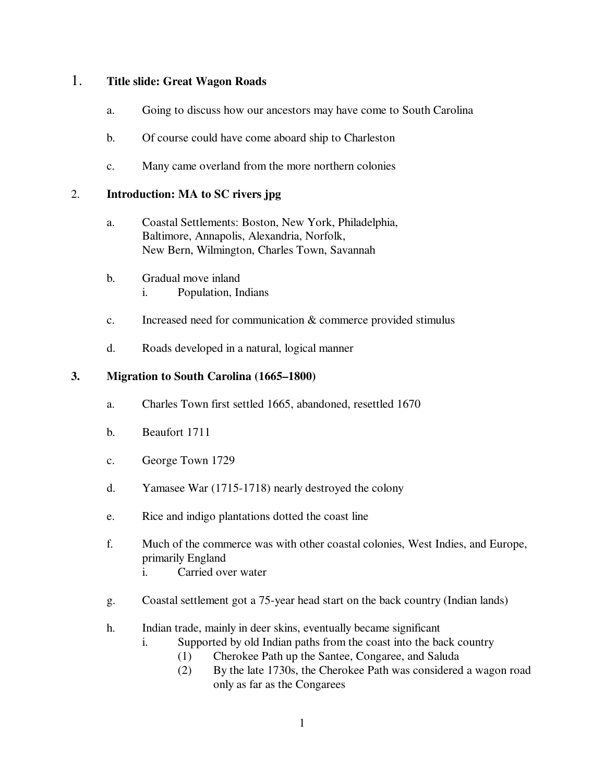## 1. **Title slide: Great Wagon Roads**

- a. Going to discuss how our ancestors may have come to South Carolina
- b. Of course could have come aboard ship to Charleston
- c. Many came overland from the more northern colonies

### 2. **Introduction: MA to SC rivers jpg**

- a. Coastal Settlements: Boston, New York, Philadelphia, Baltimore, Annapolis, Alexandria, Norfolk, New Bern, Wilmington, Charles Town, Savannah
- b. Gradual move inland i. Population, Indians
- c. Increased need for communication & commerce provided stimulus
- d. Roads developed in a natural, logical manner

### **3. Migration to South Carolina (1665–1800)**

- a. Charles Town first settled 1665, abandoned, resettled 1670
- b. Beaufort 1711
- c. George Town 1729
- d. Yamasee War (1715-1718) nearly destroyed the colony
- e. Rice and indigo plantations dotted the coast line
- f. Much of the commerce was with other coastal colonies, West Indies, and Europe, primarily England
	- i. Carried over water
- g. Coastal settlement got a 75-year head start on the back country (Indian lands)
- h. Indian trade, mainly in deer skins, eventually became significant
	- i. Supported by old Indian paths from the coast into the back country
		- (1) Cherokee Path up the Santee, Congaree, and Saluda
		- (2) By the late 1730s, the Cherokee Path was considered a wagon road only as far as the Congarees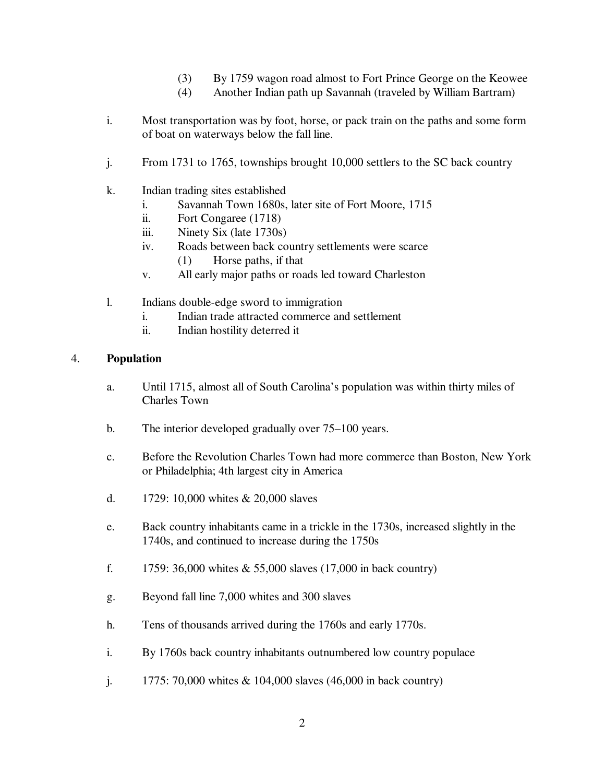- (3) By 1759 wagon road almost to Fort Prince George on the Keowee
- (4) Another Indian path up Savannah (traveled by William Bartram)
- i. Most transportation was by foot, horse, or pack train on the paths and some form of boat on waterways below the fall line.
- j. From 1731 to 1765, townships brought 10,000 settlers to the SC back country
- k. Indian trading sites established
	- i. Savannah Town 1680s, later site of Fort Moore, 1715
	- ii. Fort Congaree (1718)
	- iii. Ninety Six (late 1730s)
	- iv. Roads between back country settlements were scarce (1) Horse paths, if that
	- v. All early major paths or roads led toward Charleston
- l. Indians double-edge sword to immigration
	- i. Indian trade attracted commerce and settlement
	- ii. Indian hostility deterred it

#### 4. **Population**

- a. Until 1715, almost all of South Carolina's population was within thirty miles of Charles Town
- b. The interior developed gradually over 75–100 years.
- c. Before the Revolution Charles Town had more commerce than Boston, New York or Philadelphia; 4th largest city in America
- d. 1729: 10,000 whites & 20,000 slaves
- e. Back country inhabitants came in a trickle in the 1730s, increased slightly in the 1740s, and continued to increase during the 1750s
- f. 1759:  $36,000$  whites  $& 55,000$  slaves (17,000 in back country)
- g. Beyond fall line 7,000 whites and 300 slaves
- h. Tens of thousands arrived during the 1760s and early 1770s.
- i. By 1760s back country inhabitants outnumbered low country populace
- j. 1775: 70,000 whites & 104,000 slaves (46,000 in back country)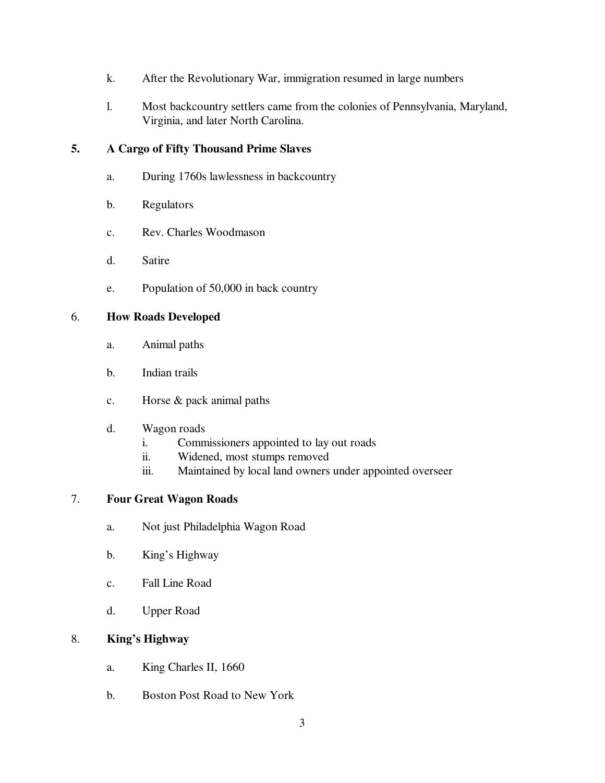- k. After the Revolutionary War, immigration resumed in large numbers
- l. Most backcountry settlers came from the colonies of Pennsylvania, Maryland, Virginia, and later North Carolina.

## **5. A Cargo of Fifty Thousand Prime Slaves**

- a. During 1760s lawlessness in backcountry
- b. Regulators
- c. Rev. Charles Woodmason
- d. Satire
- e. Population of 50,000 in back country

### 6. **How Roads Developed**

- a. Animal paths
- b. Indian trails
- c. Horse & pack animal paths
- d. Wagon roads
	- i. Commissioners appointed to lay out roads
	- ii. Widened, most stumps removed
	- iii. Maintained by local land owners under appointed overseer

#### 7. **Four Great Wagon Roads**

- a. Not just Philadelphia Wagon Road
- b. King's Highway
- c. Fall Line Road
- d. Upper Road

## 8. **King's Highway**

- a. King Charles II, 1660
- b. Boston Post Road to New York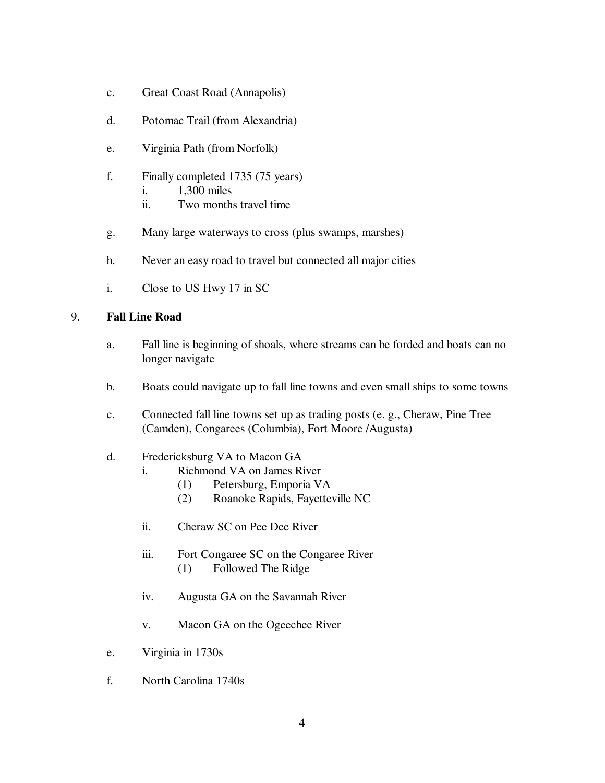- c. Great Coast Road (Annapolis)
- d. Potomac Trail (from Alexandria)
- e. Virginia Path (from Norfolk)
- f. Finally completed 1735 (75 years)
	- i. 1,300 miles
	- ii. Two months travel time
- g. Many large waterways to cross (plus swamps, marshes)
- h. Never an easy road to travel but connected all major cities
- i. Close to US Hwy 17 in SC

#### 9. **Fall Line Road**

- a. Fall line is beginning of shoals, where streams can be forded and boats can no longer navigate
- b. Boats could navigate up to fall line towns and even small ships to some towns
- c. Connected fall line towns set up as trading posts (e. g., Cheraw, Pine Tree (Camden), Congarees (Columbia), Fort Moore /Augusta)

### d. Fredericksburg VA to Macon GA

- i. Richmond VA on James River
	- (1) Petersburg, Emporia VA
	- (2) Roanoke Rapids, Fayetteville NC
- ii. Cheraw SC on Pee Dee River
- iii. Fort Congaree SC on the Congaree River (1) Followed The Ridge
- iv. Augusta GA on the Savannah River
- v. Macon GA on the Ogeechee River
- e. Virginia in 1730s
- f. North Carolina 1740s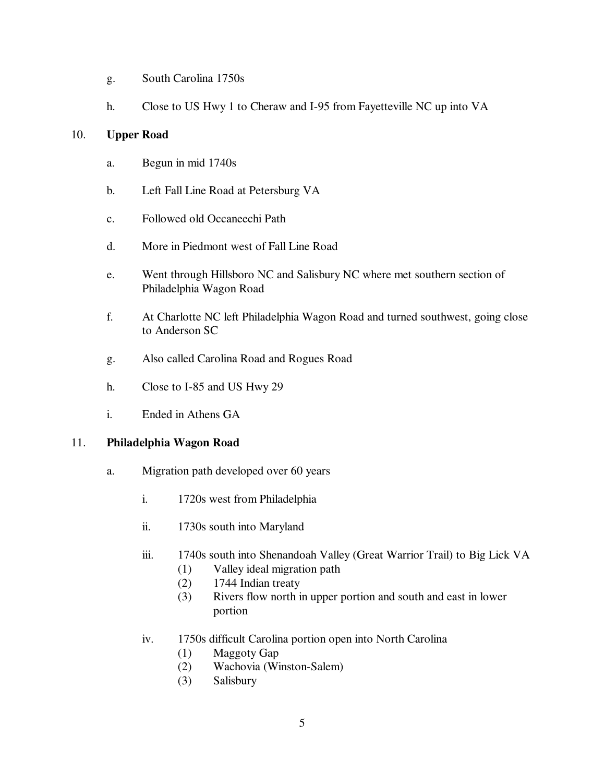- g. South Carolina 1750s
- h. Close to US Hwy 1 to Cheraw and I-95 from Fayetteville NC up into VA

### 10. **Upper Road**

- a. Begun in mid 1740s
- b. Left Fall Line Road at Petersburg VA
- c. Followed old Occaneechi Path
- d. More in Piedmont west of Fall Line Road
- e. Went through Hillsboro NC and Salisbury NC where met southern section of Philadelphia Wagon Road
- f. At Charlotte NC left Philadelphia Wagon Road and turned southwest, going close to Anderson SC
- g. Also called Carolina Road and Rogues Road
- h. Close to I-85 and US Hwy 29
- i. Ended in Athens GA

## 11. **Philadelphia Wagon Road**

- a. Migration path developed over 60 years
	- i. 1720s west from Philadelphia
	- ii. 1730s south into Maryland
	- iii. 1740s south into Shenandoah Valley (Great Warrior Trail) to Big Lick VA
		- (1) Valley ideal migration path
		- (2) 1744 Indian treaty
		- (3) Rivers flow north in upper portion and south and east in lower portion
	- iv. 1750s difficult Carolina portion open into North Carolina
		- (1) Maggoty Gap
		- (2) Wachovia (Winston-Salem)
		- (3) Salisbury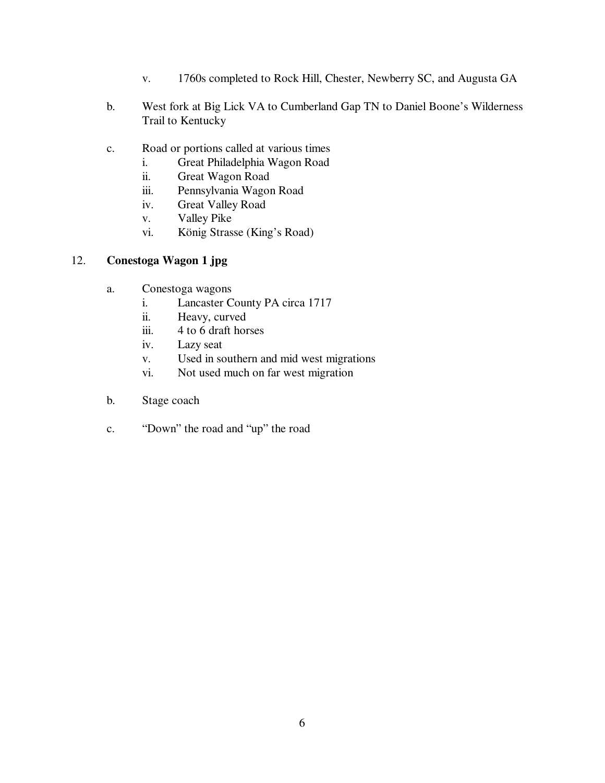- v. 1760s completed to Rock Hill, Chester, Newberry SC, and Augusta GA
- b. West fork at Big Lick VA to Cumberland Gap TN to Daniel Boone's Wilderness Trail to Kentucky
- c. Road or portions called at various times
	- i. Great Philadelphia Wagon Road
	- ii. Great Wagon Road
	- iii. Pennsylvania Wagon Road
	- iv. Great Valley Road
	- v. Valley Pike
	- vi. König Strasse (King's Road)

## 12. **Conestoga Wagon 1 jpg**

- a. Conestoga wagons
	- i. Lancaster County PA circa 1717
	- ii. Heavy, curved
	- iii. 4 to 6 draft horses
	- iv. Lazy seat
	- v. Used in southern and mid west migrations
	- vi. Not used much on far west migration
- b. Stage coach
- c. "Down" the road and "up" the road